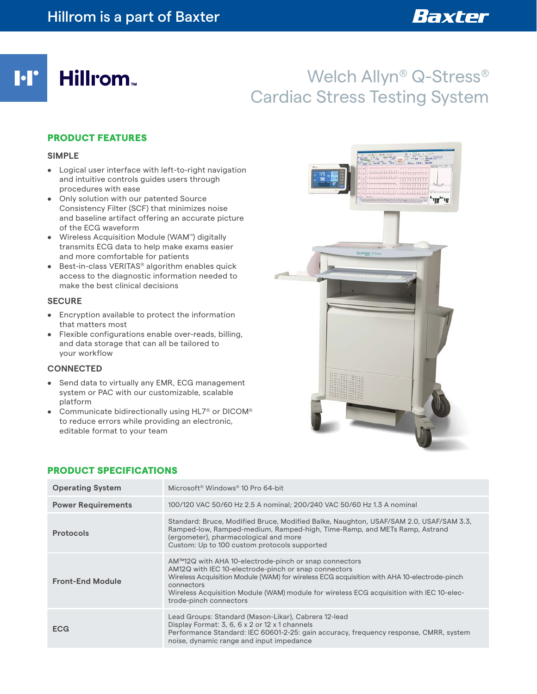**M** 

# Welch Allyn® Q-Stress® Cardiac Stress Testing System

## PRODUCT FEATURES

Hillrom.

#### **SIMPLE**

- Logical user interface with left-to-right navigation and intuitive controls guides users through procedures with ease
- Only solution with our patented Source Consistency Filter (SCF) that minimizes noise and baseline artifact offering an accurate picture of the ECG waveform
- Wireless Acquisition Module (WAM™) digitally transmits ECG data to help make exams easier and more comfortable for patients
- Best-in-class VERITAS® algorithm enables quick access to the diagnostic information needed to make the best clinical decisions

#### **SECURE**

- Encryption available to protect the information that matters most
- Flexible configurations enable over-reads, billing, and data storage that can all be tailored to your workflow

#### **CONNECTED**

- Send data to virtually any EMR, ECG management system or PAC with our customizable, scalable platform
- Communicate bidirectionally using HL7® or DICOM® to reduce errors while providing an electronic, editable format to your team



#### **Operating System** Microsoft<sup>®</sup> Windows<sup>®</sup> 10 Pro 64-bit **Power Requirements** 100/120 VAC 50/60 Hz 2.5 A nominal; 200/240 VAC 50/60 Hz 1.3 A nominal **Protocols** Standard: Bruce, Modified Bruce, Modified Balke, Naughton, USAF/SAM 2.0, USAF/SAM 3.3, Ramped-low, Ramped-medium, Ramped-high, Time-Ramp, and METs Ramp, Astrand (ergometer), pharmacological and more Custom: Up to 100 custom protocols supported **Front-End Module** AM™12Q with AHA 10-electrode-pinch or snap connectors AM12Q with IEC 10-electrode-pinch or snap connectors Wireless Acquisition Module (WAM) for wireless ECG acquisition with AHA 10-electrode-pinch connectors Wireless Acquisition Module (WAM) module for wireless ECG acquisition with IEC 10-electrode-pinch connectors **ECG** Lead Groups: Standard (Mason-Likar), Cabrera 12-lead Display Format: 3, 6, 6 x 2 or 12 x 1 channels Performance Standard: IEC 60601-2-25: gain accuracy, frequency response, CMRR, system noise, dynamic range and input impedance

### PRODUCT SPECIFICATIONS